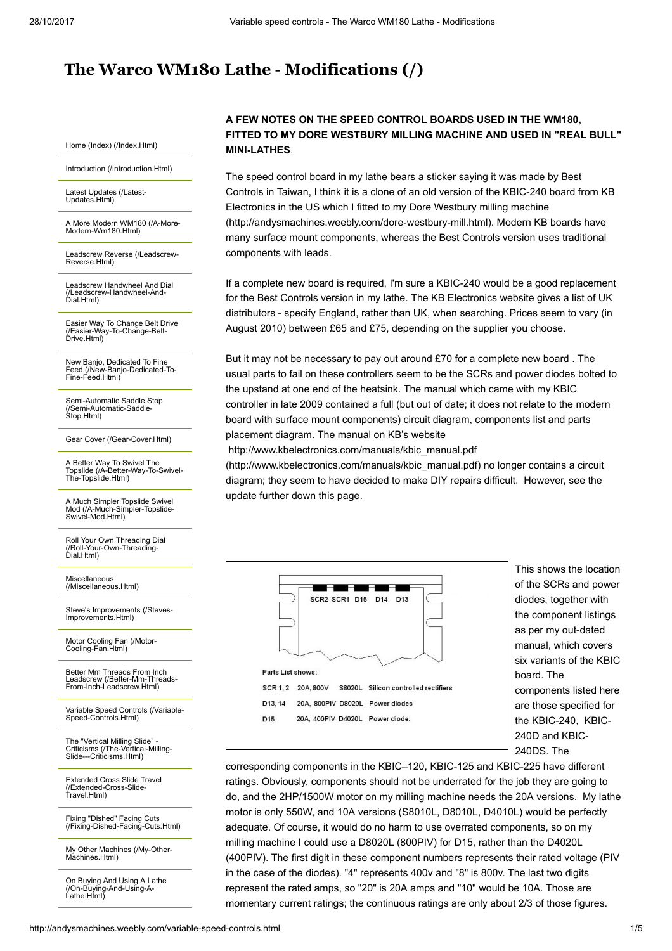## [The Warco WM180 Lathe - Modifications \(/\)](http://andysmachines.weebly.com/)

[Home \(Index\) \(/Index.Html\)](http://andysmachines.weebly.com/index.html)

[Introduction \(/Introduction.Html\)](http://andysmachines.weebly.com/introduction.html)

[Latest Updates \(/Latest-](http://andysmachines.weebly.com/latest-updates.html)Updates.Html)

[A More Modern WM180 \(/A-More-](http://andysmachines.weebly.com/a-more-modern-wm180.html)Modern-Wm180.Html)

[Leadscrew Reverse \(/Leadscrew-](http://andysmachines.weebly.com/leadscrew-reverse.html)Reverse.Html)

[Leadscrew Handwheel And Dial](http://andysmachines.weebly.com/leadscrew-handwheel-and-dial.html) (/Leadscrew-Handwheel-And-Dial.Html)

[Easier Way To Change Belt Drive](http://andysmachines.weebly.com/easier-way-to-change-belt-drive.html) (/Easier-Way-To-Change-Belt-Drive.Html)

New Banjo, Dedicated To Fine [Feed \(/New-Banjo-Dedicated-To-](http://andysmachines.weebly.com/new-banjo-dedicated-to-fine-feed.html)Fine-Feed.Html)

[Semi-Automatic Saddle Stop](http://andysmachines.weebly.com/semi-automatic-saddle-stop.html) (/Semi-Automatic-Saddle-Stop.Html)

[Gear Cover \(/Gear-Cover.Html\)](http://andysmachines.weebly.com/gear-cover.html)

A Better Way To Swivel The [Topslide \(/A-Better-Way-To-Swivel-](http://andysmachines.weebly.com/a-better-way-to-swivel-the-topslide.html)The-Topslide.Html)

A Much Simpler Topslide Swivel [Mod \(/A-Much-Simpler-Topslide-](http://andysmachines.weebly.com/a-much-simpler-topslide-swivel-mod.html)Swivel-Mod.Html)

[Roll Your Own Threading Dial](http://andysmachines.weebly.com/roll-your-own-threading-dial.html) (/Roll-Your-Own-Threading-Dial.Html)

Miscellaneous [\(/Miscellaneous.Html\)](http://andysmachines.weebly.com/miscellaneous.html)

[Steve's Improvements \(/Steves-](http://andysmachines.weebly.com/steves-improvements.html)Improvements.Html)

[Motor Cooling Fan \(/Motor-](http://andysmachines.weebly.com/motor-cooling-fan.html)Cooling-Fan.Html)

Better Mm Threads From Inch [Leadscrew \(/Better-Mm-Threads-](http://andysmachines.weebly.com/better-mm-threads-from-inch-leadscrew.html)From-Inch-Leadscrew.Html)

[Variable Speed Controls \(/Variable-](http://andysmachines.weebly.com/variable-speed-controls.html)Speed-Controls.Html)

The "Vertical Milling Slide" [Criticisms \(/The-Vertical-Milling-](http://andysmachines.weebly.com/the-vertical-milling-slide---criticisms.html)Slide---Criticisms.Html)

[Extended Cross Slide Travel](http://andysmachines.weebly.com/extended-cross-slide-travel.html) (/Extended-Cross-Slide-Travel.Html)

Fixing "Dished" Facing Cuts [\(/Fixing-Dished-Facing-Cuts.Html\)](http://andysmachines.weebly.com/fixing-dished-facing-cuts.html)

[My Other Machines \(/My-Other-](http://andysmachines.weebly.com/my-other-machines.html)Machines.Html)

[On Buying And Using A Lathe](http://andysmachines.weebly.com/on-buying-and-using-a-lathe.html) (/On-Buying-And-Using-A-Lathe.Html)

## A FEW NOTES ON THE SPEED CONTROL BOARDS USED IN THE WM180, FITTED TO MY DORE WESTBURY MILLING MACHINE AND USED IN "REAL BULL" MINI-LATHES.

The speed control board in my lathe bears a sticker saying it was made by Best Controls in Taiwan, I think it is a clone of an old version of the KBIC-240 board from KB [Electronics in the US which I fitted to my Dore Westbury milling machine](http://andysmachines.weebly.com/dore-westbury-mill.html) (http://andysmachines.weebly.com/dore-westbury-mill.html). Modern KB boards have many surface mount components, whereas the Best Controls version uses traditional components with leads.

If a complete new board is required, I'm sure a KBIC-240 would be a good replacement for the Best Controls version in my lathe. The KB Electronics website gives a list of UK distributors - specify England, rather than UK, when searching. Prices seem to vary (in August 2010) between £65 and £75, depending on the supplier you choose.

But it may not be necessary to pay out around £70 for a complete new board . The usual parts to fail on these controllers seem to be the SCRs and power diodes bolted to the upstand at one end of the heatsink. The manual which came with my KBIC controller in late 2009 contained a full (but out of date; it does not relate to the modern board with surface mount components) circuit diagram, components list and parts placement diagram. The manual on KB's website

http://www.kbelectronics.com/manuals/kbic\_manual.pdf

[\(http://www.kbelectronics.com/manuals/kbic\\_manual.pdf\)](http://www.kbelectronics.com/manuals/kbic_manual.pdf) no longer contains a circuit diagram; they seem to have decided to make DIY repairs difficult. However, see the update further down this page.

|                   | SCR2 SCR1 D15<br>D <sub>14</sub><br>D <sub>13</sub>     |
|-------------------|---------------------------------------------------------|
|                   |                                                         |
|                   |                                                         |
|                   |                                                         |
|                   |                                                         |
|                   |                                                         |
| Parts List shows: |                                                         |
|                   | SCR 1, 2 20A, 800V S8020L Silicon controlled rectifiers |
| D13, 14           | 20A, 800PIV D8020L Power diodes                         |

This shows the location of the SCRs and power diodes, together with the component listings as per my out-dated manual, which covers six variants of the KBIC board. The components listed here are those specified for the KBIC-240, KBIC-240D and KBIC-240DS. The

corresponding components in the KBIC–120, KBIC-125 and KBIC-225 have different ratings. Obviously, components should not be underrated for the job they are going to do, and the 2HP/1500W motor on my milling machine needs the 20A versions. My lathe motor is only 550W, and 10A versions (S8010L, D8010L, D4010L) would be perfectly adequate. Of course, it would do no harm to use overrated components, so on my milling machine I could use a D8020L (800PIV) for D15, rather than the D4020L (400PIV). The first digit in these component numbers represents their rated voltage (PIV in the case of the diodes). "4" represents 400v and "8" is 800v. The last two digits represent the rated amps, so "20" is 20A amps and "10" would be 10A. Those are momentary current ratings; the continuous ratings are only about 2/3 of those figures.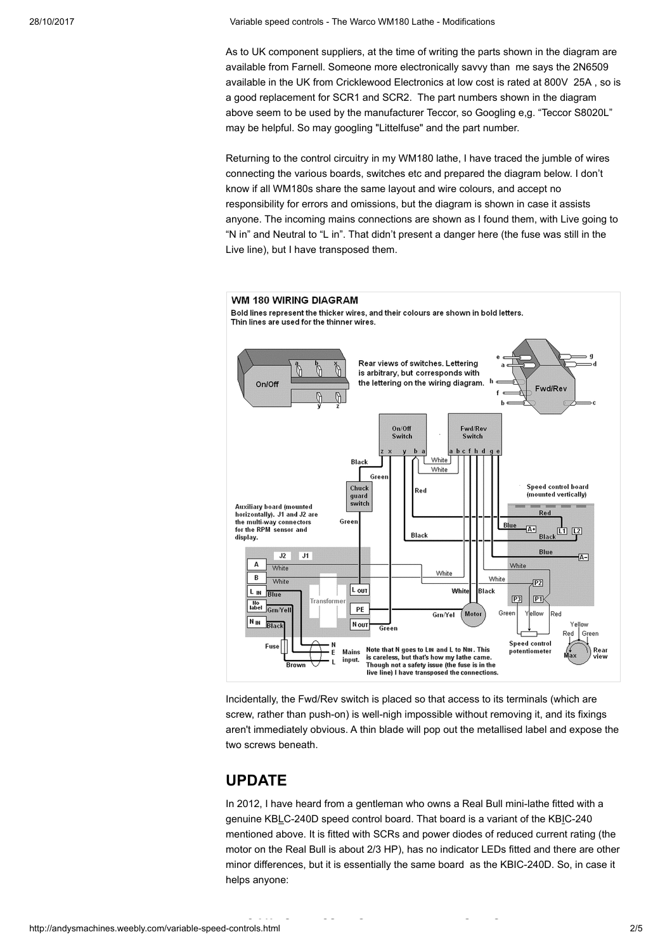As to UK component suppliers, at the time of writing the parts shown in the diagram are available from Farnell. Someone more electronically savvy than me says the 2N6509 available in the UK from Cricklewood Electronics at low cost is rated at 800V 25A , so is a good replacement for SCR1 and SCR2. The part numbers shown in the diagram above seem to be used by the manufacturer Teccor, so Googling e,g. "Teccor S8020L" may be helpful. So may googling "Littelfuse" and the part number.

Returning to the control circuitry in my WM180 lathe, I have traced the jumble of wires connecting the various boards, switches etc and prepared the diagram below. I don't know if all WM180s share the same layout and wire colours, and accept no responsibility for errors and omissions, but the diagram is shown in case it assists anyone. The incoming mains connections are shown as I found them, with Live going to "N in" and Neutral to "L in". That didn't present a danger here (the fuse was still in the Live line), but I have transposed them.



Incidentally, the Fwd/Rev switch is placed so that access to its terminals (which are screw, rather than push-on) is well-nigh impossible without removing it, and its fixings aren't immediately obvious. A thin blade will pop out the metallised label and expose the two screws beneath.

## UPDATE

In 2012, I have heard from a gentleman who owns a Real Bull mini-lathe fitted with a genuine KBLC-240D speed control board. That board is a variant of the KBIC-240 mentioned above. It is fitted with SCRs and power diodes of reduced current rating (the motor on the Real Bull is about 2/3 HP), has no indicator LEDs fitted and there are other minor differences, but it is essentially the same board as the KBIC-240D. So, in case it helps anyone: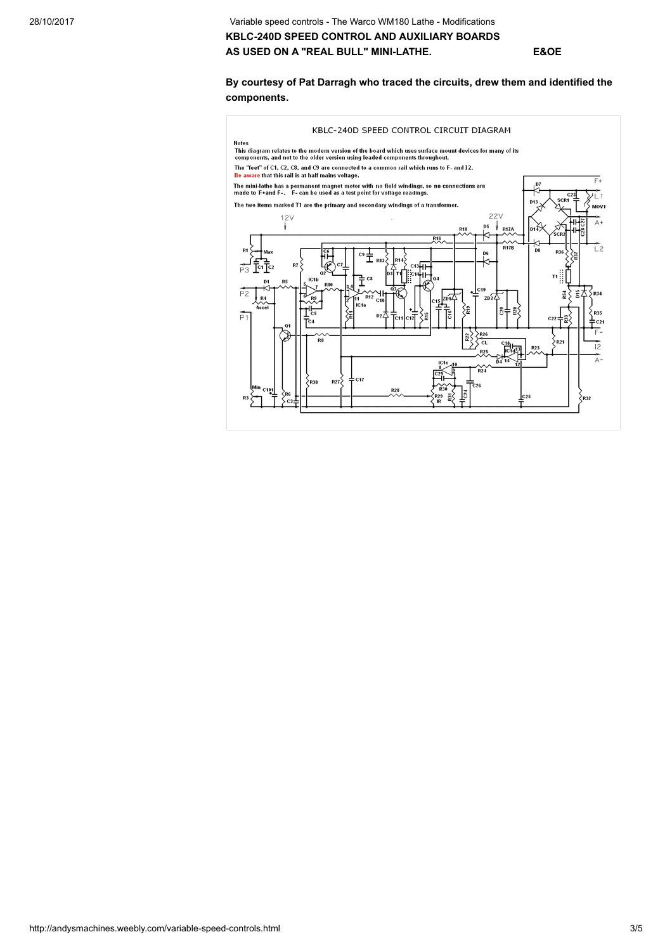28/10/2017 Variable speed controls - The Warco WM180 Lathe - Modifications KBLC-240D SPEED CONTROL AND AUXILIARY BOARDS AS USED ON A "REAL BULL" MINI-LATHE. E&OE

## By courtesy of Pat Darragh who traced the circuits, drew them and identified the components.

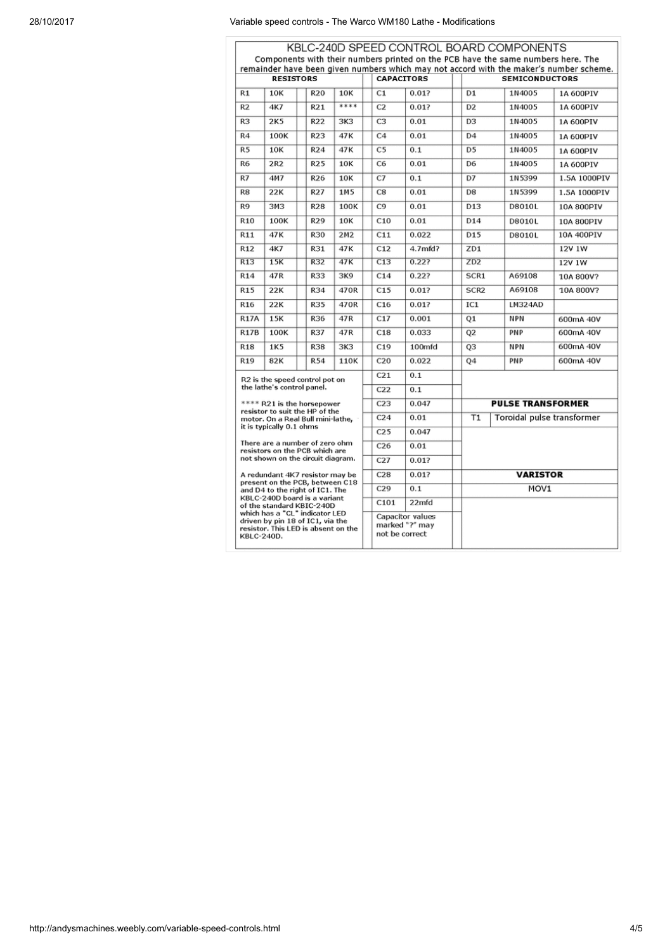| KBLC-240D SPEED CONTROL BOARD COMPONENTS<br>Components with their numbers printed on the PCB have the same numbers here. The                                                                                                                                                                         |      |  |                 |                 |  |                                                      |                    |  |                          |  |            |                            |  |
|------------------------------------------------------------------------------------------------------------------------------------------------------------------------------------------------------------------------------------------------------------------------------------------------------|------|--|-----------------|-----------------|--|------------------------------------------------------|--------------------|--|--------------------------|--|------------|----------------------------|--|
| remainder have been given numbers which may not accord with the maker's number scheme.                                                                                                                                                                                                               |      |  |                 |                 |  |                                                      |                    |  |                          |  |            |                            |  |
| <b>RESISTORS</b>                                                                                                                                                                                                                                                                                     |      |  |                 |                 |  | <b>CAPACITORS</b>                                    |                    |  | <b>SEMICONDUCTORS</b>    |  |            |                            |  |
| R1                                                                                                                                                                                                                                                                                                   | 10K  |  | <b>R20</b>      | 10K             |  | C1                                                   | 0.01?              |  | D <sub>1</sub>           |  | 1N4005     | 1A 600PIV                  |  |
| R <sub>2</sub>                                                                                                                                                                                                                                                                                       | 4K7  |  | R <sub>21</sub> | ****            |  | C <sub>2</sub>                                       | 0.01?              |  | D <sub>2</sub>           |  | 1N4005     | 1A 600PIV                  |  |
| R <sub>3</sub>                                                                                                                                                                                                                                                                                       | 2K5  |  | R22             | 3K3             |  | C <sub>3</sub>                                       | 0.01               |  | D <sub>3</sub>           |  | 1N4005     | 1A 600PIV                  |  |
| R <sub>4</sub>                                                                                                                                                                                                                                                                                       | 100K |  | R23             | 47K             |  | C <sub>4</sub>                                       | 0.01               |  | D <sub>4</sub>           |  | 1N4005     | 1A 600PIV                  |  |
| R <sub>5</sub>                                                                                                                                                                                                                                                                                       | 10K  |  | R24             | 47K             |  | C <sub>5</sub>                                       | 0.1                |  | D <sub>5</sub>           |  | 1N4005     | 1A 600PIV                  |  |
| <b>R6</b>                                                                                                                                                                                                                                                                                            | 2R2  |  | <b>R25</b>      | 10K             |  | C <sub>6</sub>                                       | 0.01               |  | D6                       |  | 1N4005     | 1A 600PIV                  |  |
| R7                                                                                                                                                                                                                                                                                                   | 4M7  |  | R26             | 10K             |  | C7                                                   | 0.1                |  | D7                       |  | 1N5399     | 1.5A 1000PIV               |  |
| R8                                                                                                                                                                                                                                                                                                   | 22K  |  | R27             | 1M <sub>5</sub> |  | C8                                                   | 0.01               |  | D8                       |  | 1N5399     | 1.5A 1000PIV               |  |
| R <sub>9</sub>                                                                                                                                                                                                                                                                                       | 3M3  |  | <b>R28</b>      | 100K            |  | C <sub>9</sub>                                       | 0.01               |  | D <sub>13</sub>          |  | D8010L     | 10A 800PIV                 |  |
| R <sub>10</sub>                                                                                                                                                                                                                                                                                      | 100K |  | R29             | 10K             |  | C10                                                  | 0.01               |  | D <sub>14</sub>          |  | D8010L     | 10A 800PIV                 |  |
| R <sub>11</sub>                                                                                                                                                                                                                                                                                      | 47K  |  | R30             | 2M2             |  | C11                                                  | 0.022              |  | D <sub>15</sub>          |  | D8010L     | 10A 400PIV                 |  |
| R <sub>12</sub>                                                                                                                                                                                                                                                                                      | 4K7  |  | R31             | 47K             |  | C12                                                  | 4.7 <sub>mfd</sub> |  | ZD1                      |  |            | 12V 1W                     |  |
| R13                                                                                                                                                                                                                                                                                                  | 15K  |  | R32             | 47K             |  | $\overline{C13}$                                     | 0.227              |  | ZD2                      |  |            | 12V 1W                     |  |
| R <sub>14</sub>                                                                                                                                                                                                                                                                                      | 47R  |  | <b>R33</b>      | 3K9             |  | C14                                                  | 0.22?              |  | SCR1                     |  | A69108     | 10A 800V?                  |  |
| R <sub>15</sub>                                                                                                                                                                                                                                                                                      | 22K  |  | R34             | 470R            |  | C15                                                  | 0.01?              |  | SCR <sub>2</sub>         |  | A69108     | 10A 800V?                  |  |
| R <sub>16</sub>                                                                                                                                                                                                                                                                                      | 22K  |  | R35             | 470R            |  | C16                                                  | 0.01?              |  | IC1                      |  | LM324AD    |                            |  |
| <b>R17A</b>                                                                                                                                                                                                                                                                                          | 15K  |  | R36             | 47R             |  | C17                                                  | 0.001              |  | Q1                       |  | <b>NPN</b> | 600mA 40V                  |  |
| <b>R17B</b>                                                                                                                                                                                                                                                                                          | 100K |  | R37             | 47R             |  | C18                                                  | 0.033              |  | Q <sub>2</sub>           |  | PNP        | 600mA 40V                  |  |
| <b>R18</b>                                                                                                                                                                                                                                                                                           | 1K5  |  | <b>R38</b>      | 3K3             |  | C19                                                  | 100mfd             |  | Q <sub>3</sub>           |  | <b>NPN</b> | 600mA 40V                  |  |
| R <sub>19</sub>                                                                                                                                                                                                                                                                                      | 82K  |  | <b>R54</b>      | 110K            |  | C20                                                  | 0.022              |  | Q4                       |  | PNP        | 600mA 40V                  |  |
| R2 is the speed control pot on<br>the lathe's control panel.                                                                                                                                                                                                                                         |      |  |                 |                 |  | C <sub>21</sub>                                      | 0.1                |  |                          |  |            |                            |  |
|                                                                                                                                                                                                                                                                                                      |      |  |                 |                 |  | C22                                                  | 0.1                |  |                          |  |            |                            |  |
| **** R21 is the horsepower<br>resistor to suit the HP of the                                                                                                                                                                                                                                         |      |  |                 |                 |  | C <sub>23</sub>                                      | 0.047              |  | <b>PULSE TRANSFORMER</b> |  |            |                            |  |
| motor. On a Real Bull mini-lathe,<br>it is typically 0.1 ohms                                                                                                                                                                                                                                        |      |  |                 |                 |  | C <sub>24</sub>                                      | 0.01               |  | T1                       |  |            | Toroidal pulse transformer |  |
|                                                                                                                                                                                                                                                                                                      |      |  |                 |                 |  | C <sub>25</sub>                                      | 0.047              |  |                          |  |            |                            |  |
| There are a number of zero ohm<br>resistors on the PCB which are<br>not shown on the circuit diagram.                                                                                                                                                                                                |      |  |                 |                 |  | C <sub>26</sub>                                      | 0.01               |  |                          |  |            |                            |  |
|                                                                                                                                                                                                                                                                                                      |      |  |                 |                 |  | C27                                                  | 0.01?              |  |                          |  |            |                            |  |
| A redundant 4K7 resistor may be<br>present on the PCB, between C18<br>and D4 to the right of IC1. The<br>KBLC-240D board is a variant<br>of the standard KBIC-240D<br>which has a "CL" indicator LED<br>driven by pin 18 of IC1, via the<br>resistor. This LED is absent on the<br><b>KBLC-240D.</b> |      |  |                 |                 |  | C28                                                  | 0.01?              |  | <b>VARISTOR</b>          |  |            |                            |  |
|                                                                                                                                                                                                                                                                                                      |      |  |                 |                 |  | C29                                                  | 0.1                |  | MOV1                     |  |            |                            |  |
|                                                                                                                                                                                                                                                                                                      |      |  |                 |                 |  | C <sub>101</sub>                                     | 22mfd              |  |                          |  |            |                            |  |
|                                                                                                                                                                                                                                                                                                      |      |  |                 |                 |  | Capacitor values<br>marked "?" may<br>not be correct |                    |  |                          |  |            |                            |  |